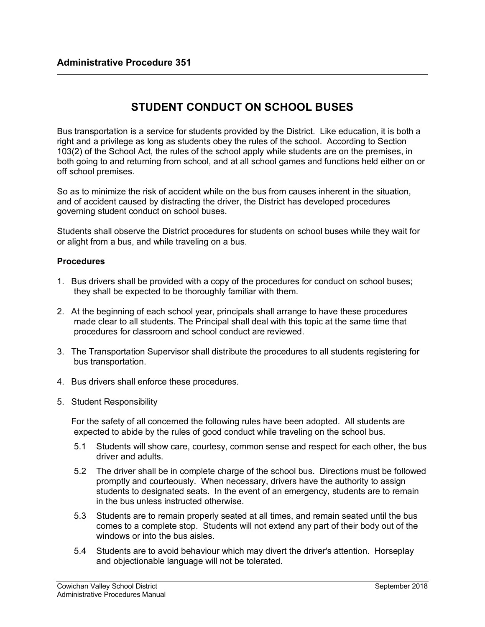## **STUDENT CONDUCT ON SCHOOL BUSES**

Bus transportation is a service for students provided by the District. Like education, it is both a right and a privilege as long as students obey the rules of the school. According to Section 103(2) of the School Act, the rules of the school apply while students are on the premises, in both going to and returning from school, and at all school games and functions held either on or off school premises.

So as to minimize the risk of accident while on the bus from causes inherent in the situation, and of accident caused by distracting the driver, the District has developed procedures governing student conduct on school buses.

Students shall observe the District procedures for students on school buses while they wait for or alight from a bus, and while traveling on a bus.

## **Procedures**

- 1. Bus drivers shall be provided with a copy of the procedures for conduct on school buses; they shall be expected to be thoroughly familiar with them.
- 2. At the beginning of each school year, principals shall arrange to have these procedures made clear to all students. The Principal shall deal with this topic at the same time that procedures for classroom and school conduct are reviewed.
- 3. The Transportation Supervisor shall distribute the procedures to all students registering for bus transportation.
- 4. Bus drivers shall enforce these procedures.
- 5. Student Responsibility

For the safety of all concerned the following rules have been adopted. All students are expected to abide by the rules of good conduct while traveling on the school bus.

- 5.1 Students will show care, courtesy, common sense and respect for each other, the bus driver and adults.
- 5.2 The driver shall be in complete charge of the school bus. Directions must be followed promptly and courteously. When necessary, drivers have the authority to assign students to designated seats*.* In the event of an emergency, students are to remain in the bus unless instructed otherwise.
- 5.3 Students are to remain properly seated at all times, and remain seated until the bus comes to a complete stop. Students will not extend any part of their body out of the windows or into the bus aisles.
- 5.4 Students are to avoid behaviour which may divert the driver's attention. Horseplay and objectionable language will not be tolerated.